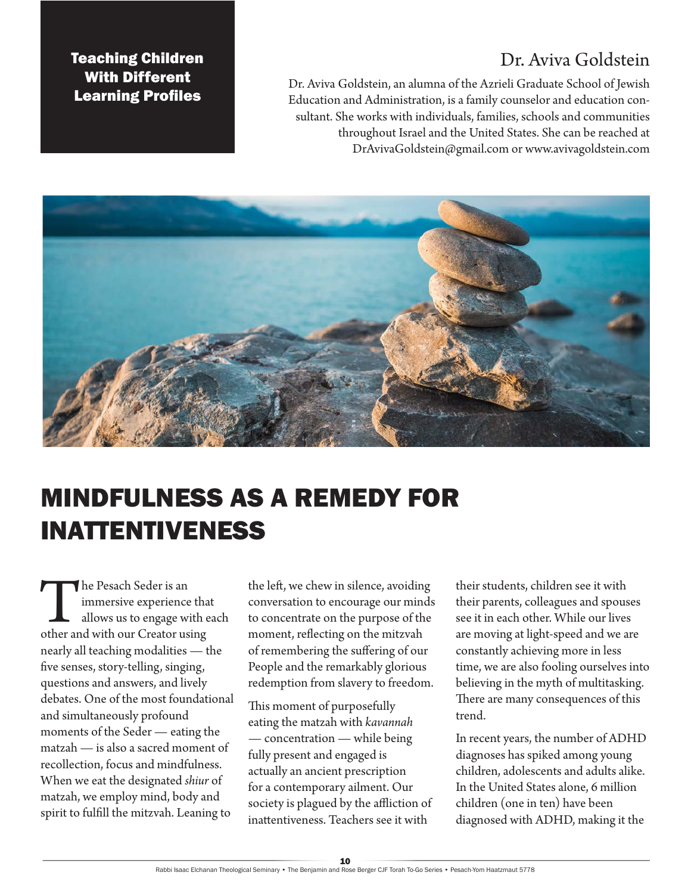### Dr. Aviva Goldstein

Teaching Children With Different Learning Profiles

Dr. Aviva Goldstein, an alumna of the Azrieli Graduate School of Jewish Education and Administration, is a family counselor and education consultant. She works with individuals, families, schools and communities throughout Israel and the United States. She can be reached at DrAvivaGoldstein@gmail.com or www.avivagoldstein.com



## MINDFULNESS AS A REMEDY FOR INATTENTIVENESS

The Pesach Seder is an immersive experience that<br>allows us to engage with  $\epsilon$ <br>other and with our Creator using immersive experience that allows us to engage with each nearly all teaching modalities — the five senses, story-telling, singing, questions and answers, and lively debates. One of the most foundational and simultaneously profound moments of the Seder — eating the matzah — is also a sacred moment of recollection, focus and mindfulness. When we eat the designated *shiur* of matzah, we employ mind, body and spirit to fulfill the mitzvah. Leaning to

the left, we chew in silence, avoiding conversation to encourage our minds to concentrate on the purpose of the moment, reflecting on the mitzvah of remembering the suffering of our People and the remarkably glorious redemption from slavery to freedom.

This moment of purposefully eating the matzah with *kavannah* — concentration — while being fully present and engaged is actually an ancient prescription for a contemporary ailment. Our society is plagued by the affliction of inattentiveness. Teachers see it with

their students, children see it with their parents, colleagues and spouses see it in each other. While our lives are moving at light-speed and we are constantly achieving more in less time, we are also fooling ourselves into believing in the myth of multitasking. There are many consequences of this trend.

In recent years, the number of ADHD diagnoses has spiked among young children, adolescents and adults alike. In the United States alone, 6 million children (one in ten) have been diagnosed with ADHD, making it the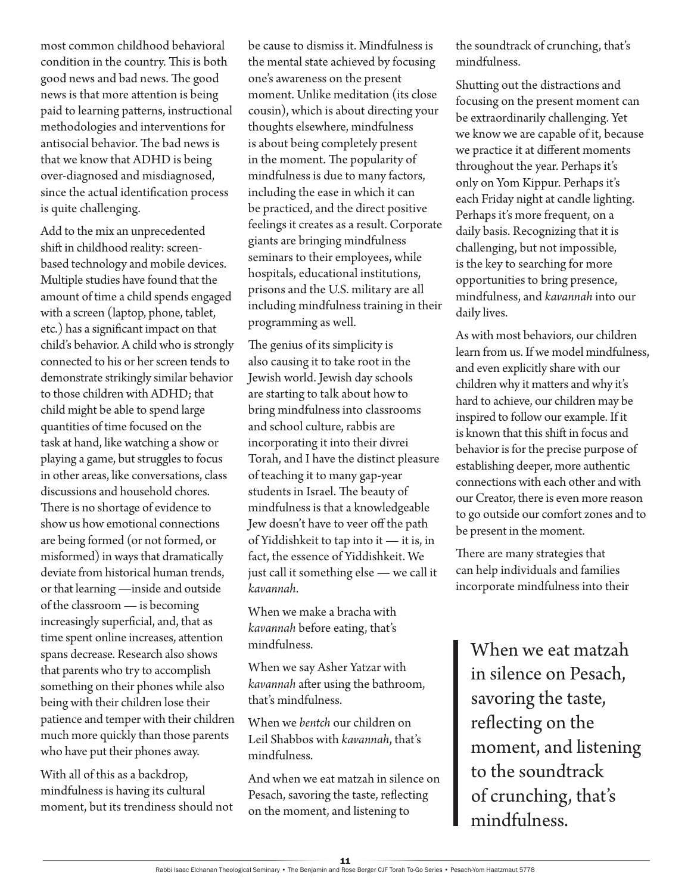most common childhood behavioral condition in the country. This is both good news and bad news. The good news is that more attention is being paid to learning patterns, instructional methodologies and interventions for antisocial behavior. The bad news is that we know that ADHD is being over-diagnosed and misdiagnosed, since the actual identification process is quite challenging.

Add to the mix an unprecedented shift in childhood reality: screenbased technology and mobile devices. Multiple studies have found that the amount of time a child spends engaged with a screen (laptop, phone, tablet, etc.) has a significant impact on that child's behavior. A child who is strongly connected to his or her screen tends to demonstrate strikingly similar behavior to those children with ADHD; that child might be able to spend large quantities of time focused on the task at hand, like watching a show or playing a game, but struggles to focus in other areas, like conversations, class discussions and household chores. There is no shortage of evidence to show us how emotional connections are being formed (or not formed, or misformed) in ways that dramatically deviate from historical human trends, or that learning —inside and outside of the classroom — is becoming increasingly superficial, and, that as time spent online increases, attention spans decrease. Research also shows that parents who try to accomplish something on their phones while also being with their children lose their patience and temper with their children much more quickly than those parents who have put their phones away.

With all of this as a backdrop, mindfulness is having its cultural moment, but its trendiness should not be cause to dismiss it. Mindfulness is the mental state achieved by focusing one's awareness on the present moment. Unlike meditation (its close cousin), which is about directing your thoughts elsewhere, mindfulness is about being completely present in the moment. The popularity of mindfulness is due to many factors, including the ease in which it can be practiced, and the direct positive feelings it creates as a result. Corporate giants are bringing mindfulness seminars to their employees, while hospitals, educational institutions, prisons and the U.S. military are all including mindfulness training in their programming as well.

The genius of its simplicity is also causing it to take root in the Jewish world. Jewish day schools are starting to talk about how to bring mindfulness into classrooms and school culture, rabbis are incorporating it into their divrei Torah, and I have the distinct pleasure of teaching it to many gap-year students in Israel. The beauty of mindfulness is that a knowledgeable Jew doesn't have to veer off the path of Yiddishkeit to tap into it — it is, in fact, the essence of Yiddishkeit. We just call it something else — we call it *kavannah*.

When we make a bracha with *kavannah* before eating, that's mindfulness.

When we say Asher Yatzar with *kavannah* after using the bathroom, that's mindfulness.

When we *bentch* our children on Leil Shabbos with *kavannah*, that's mindfulness.

And when we eat matzah in silence on Pesach, savoring the taste, reflecting on the moment, and listening to

the soundtrack of crunching, that's mindfulness.

Shutting out the distractions and focusing on the present moment can be extraordinarily challenging. Yet we know we are capable of it, because we practice it at different moments throughout the year. Perhaps it's only on Yom Kippur. Perhaps it's each Friday night at candle lighting. Perhaps it's more frequent, on a daily basis. Recognizing that it is challenging, but not impossible, is the key to searching for more opportunities to bring presence, mindfulness, and *kavannah* into our daily lives.

As with most behaviors, our children learn from us. If we model mindfulness, and even explicitly share with our children why it matters and why it's hard to achieve, our children may be inspired to follow our example. If it is known that this shift in focus and behavior is for the precise purpose of establishing deeper, more authentic connections with each other and with our Creator, there is even more reason to go outside our comfort zones and to be present in the moment.

There are many strategies that can help individuals and families incorporate mindfulness into their

When we eat matzah in silence on Pesach, savoring the taste, reflecting on the moment, and listening to the soundtrack of crunching, that's mindfulness.